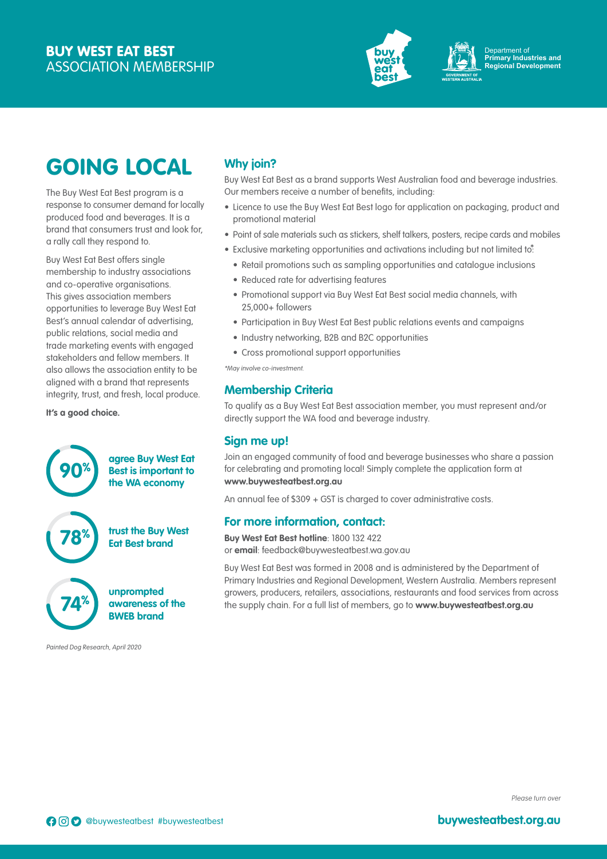

Department of **Primary Industries and Regional Development**

# GOING LOCAL

The Buy West Eat Best program is a response to consumer demand for locally produced food and beverages. It is a brand that consumers trust and look for, a rally call they respond to.

Buy West Eat Best offers single membership to industry associations and co-operative organisations. This gives association members opportunities to leverage Buy West Eat Best's annual calendar of advertising, public relations, social media and trade marketing events with engaged stakeholders and fellow members. It also allows the association entity to be aligned with a brand that represents integrity, trust, and fresh, local produce.

**It's a good choice.**



Painted Dog Research, April 2020

## **Why join?**

Buy West Eat Best as a brand supports West Australian food and beverage industries. Our members receive a number of benefits, including:

- Licence to use the Buy West Eat Best logo for application on packaging, product and promotional material
- Point of sale materials such as stickers, shelf talkers, posters, recipe cards and mobiles
- Exclusive marketing opportunities and activations including but not limited to:
	- Retail promotions such as sampling opportunities and catalogue inclusions
	- Reduced rate for advertising features
	- Promotional support via Buy West Eat Best social media channels, with 25,000+ followers
	- Participation in Buy West Eat Best public relations events and campaigns
	- Industry networking, B2B and B2C opportunities
	- Cross promotional support opportunities

\*May involve co-investment.

#### **Membership Criteria**

To qualify as a Buy West Eat Best association member, you must represent and/or directly support the WA food and beverage industry.

#### **Sign me up!**

Join an engaged community of food and beverage businesses who share a passion for celebrating and promoting local! Simply complete the application form at **www.buywesteatbest.org.au**

An annual fee of \$309 + GST is charged to cover administrative costs.

#### **For more information, contact:**

**Buy West Eat Best hotline**: 1800 132 422 or **email**: feedback@buywesteatbest.wa.gov.au

Buy West Eat Best was formed in 2008 and is administered by the Department of Primary Industries and Regional Development, Western Australia. Members represent growers, producers, retailers, associations, restaurants and food services from across the supply chain. For a full list of members, go to **www.buywesteatbest.org.au**

Please turn over

**buywesteatbest.org.au**